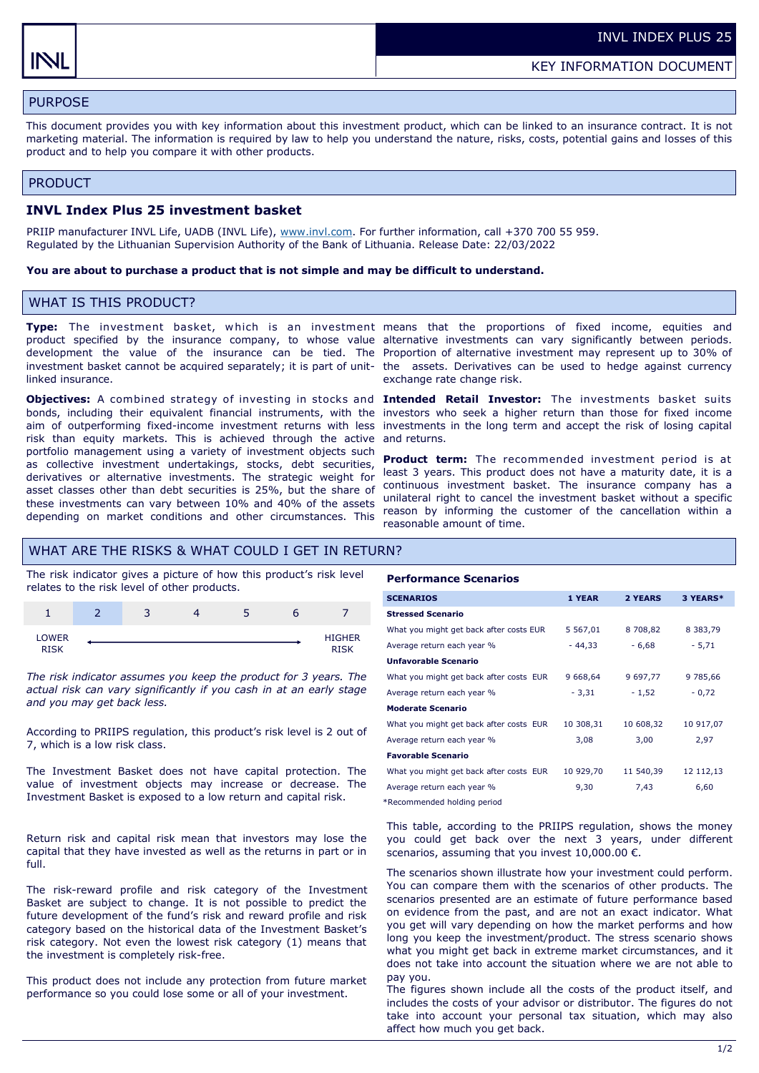# PURPOSE

This document provides you with key information about this investment product, which can be linked to an insurance contract. It is not marketing material. The information is required by law to help you understand the nature, risks, costs, potential gains and losses of this product and to help you compare it with other products.

#### PRODUCT

#### **INVL Index Plus 25 investment basket**

PRIIP manufacturer INVL Life, UADB (INVL Life), [www.invl.com.](http://www.invl.com) For further information, call +370 700 55 959. Regulated by the Lithuanian Supervision Authority of the Bank of Lithuania. Release Date: 22/03/2022

#### **You are about to purchase a product that is not simple and may be difficult to understand.**

## WHAT IS THIS PRODUCT?

linked insurance.

**Objectives:** A combined strategy of investing in stocks and **Intended Retail Investor:** The investments basket suits bonds, including their equivalent financial instruments, with the investors who seek a higher return than those for fixed income aim of outperforming fixed-income investment returns with less investments in the long term and accept the risk of losing capital risk than equity markets. This is achieved through the active and returns. portfolio management using a variety of investment objects such as collective investment undertakings, stocks, debt securities, derivatives or alternative investments. The strategic weight for asset classes other than debt securities is 25%, but the share of these investments can vary between 10% and 40% of the assets depending on market conditions and other circumstances. This

**Type:** The investment basket, w hich is an investment means that the proportions of fixed income, equities and product specified by the insurance company, to whose value alternative investments can vary significantly between periods. development the value of the insurance can be tied. The Proportion of alternative investment may represent up to 30% of investment basket cannot be acquired separately; it is part of unit-the assets. Derivatives can be used to hedge against currency exchange rate change risk.

**Product term:** The recommended investment period is at least 3 years. This product does not have a maturity date, it is a continuous investment basket. The insurance company has a unilateral right to cancel the investment basket without a specific reason by informing the customer of the cancellation within a reasonable amount of time.

## WHAT ARE THE RISKS & WHAT COULD I GET IN RETURN?

The risk indicator gives a picture of how this product's risk level relates to the risk level of other products.

|                      | $\overline{ }$<br>ٮ | - |                       |
|----------------------|---------------------|---|-----------------------|
| LOWER<br><b>RISK</b> |                     |   | <b>HIGHER</b><br>DICK |

*The risk indicator assumes you keep the product for 3 years. The actual risk can vary significantly if you cash in at an early stage and you may get back less.* 

According to PRIIPS regulation, this product's risk level is 2 out of 7, which is a low risk class.

The Investment Basket does not have capital protection. The value of investment objects may increase or decrease. The Investment Basket is exposed to a low return and capital risk.

Return risk and capital risk mean that investors may lose the capital that they have invested as well as the returns in part or in full.

The risk-reward profile and risk category of the Investment Basket are subject to change. It is not possible to predict the future development of the fund's risk and reward profile and risk category based on the historical data of the Investment Basket's risk category. Not even the lowest risk category (1) means that the investment is completely risk-free.

This product does not include any protection from future market performance so you could lose some or all of your investment.

# **Performance Scenarios**

| <b>SCENARIOS</b>                        | 1 YEAR        | 2 YEARS   | 3 YEARS*      |
|-----------------------------------------|---------------|-----------|---------------|
| <b>Stressed Scenario</b>                |               |           |               |
| What you might get back after costs EUR | 5 5 6 7 , 0 1 | 8 708,82  | 8 3 8 3 , 7 9 |
| Average return each year %              | - 44,33       | $-6,68$   | $-5,71$       |
| <b>Unfavorable Scenario</b>             |               |           |               |
| What you might get back after costs EUR | 9 668,64      | 9 697,77  | 9 785,66      |
| Average return each year %              | $-3,31$       | $-1,52$   | $-0,72$       |
| <b>Moderate Scenario</b>                |               |           |               |
| What you might get back after costs EUR | 10 308,31     | 10 608,32 | 10 917,07     |
| Average return each year %              | 3,08          | 3,00      | 2,97          |
| <b>Favorable Scenario</b>               |               |           |               |
| What you might get back after costs EUR | 10 929,70     | 11 540,39 | 12 112,13     |
| Average return each year %              | 9,30          | 7,43      | 6,60          |
|                                         |               |           |               |

\*Recommended holding period

This table, according to the PRIIPS regulation, shows the money you could get back over the next 3 years, under different scenarios, assuming that you invest  $10,000.00 \in$ .

The scenarios shown illustrate how your investment could perform. You can compare them with the scenarios of other products. The scenarios presented are an estimate of future performance based on evidence from the past, and are not an exact indicator. What you get will vary depending on how the market performs and how long you keep the investment/product. The stress scenario shows what you might get back in extreme market circumstances, and it does not take into account the situation where we are not able to pay you.

The figures shown include all the costs of the product itself, and includes the costs of your advisor or distributor. The figures do not take into account your personal tax situation, which may also affect how much you get back.